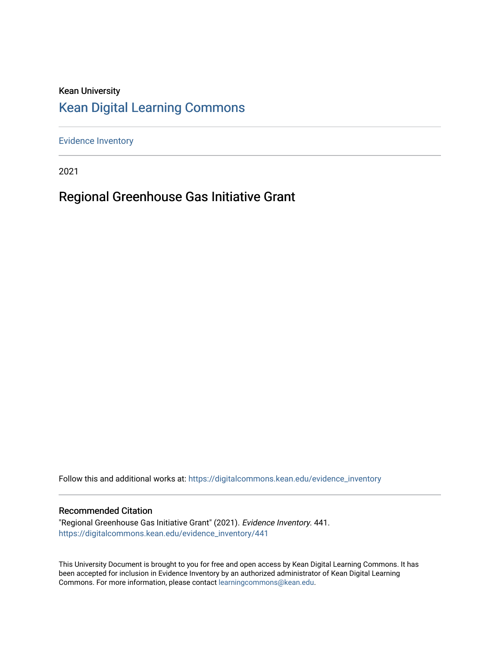#### Kean University [Kean Digital Learning Commons](https://digitalcommons.kean.edu/)

[Evidence Inventory](https://digitalcommons.kean.edu/evidence_inventory) 

2021

#### Regional Greenhouse Gas Initiative Grant

Follow this and additional works at: [https://digitalcommons.kean.edu/evidence\\_inventory](https://digitalcommons.kean.edu/evidence_inventory?utm_source=digitalcommons.kean.edu%2Fevidence_inventory%2F441&utm_medium=PDF&utm_campaign=PDFCoverPages)

#### Recommended Citation

"Regional Greenhouse Gas Initiative Grant" (2021). Evidence Inventory. 441. [https://digitalcommons.kean.edu/evidence\\_inventory/441](https://digitalcommons.kean.edu/evidence_inventory/441?utm_source=digitalcommons.kean.edu%2Fevidence_inventory%2F441&utm_medium=PDF&utm_campaign=PDFCoverPages)

This University Document is brought to you for free and open access by Kean Digital Learning Commons. It has been accepted for inclusion in Evidence Inventory by an authorized administrator of Kean Digital Learning Commons. For more information, please contact [learningcommons@kean.edu.](mailto:learningcommons@kean.edu)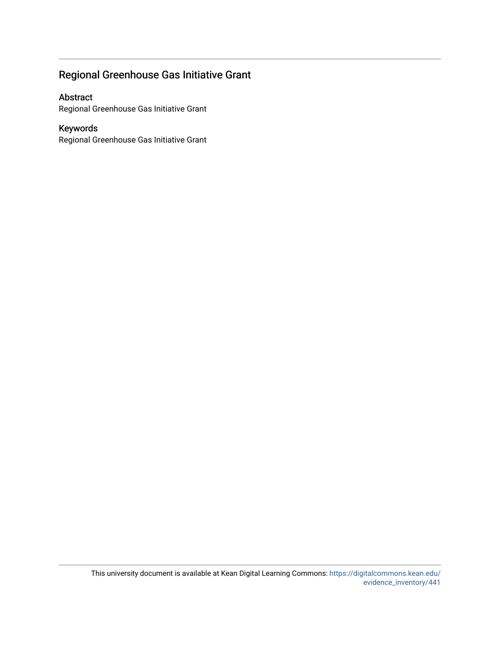#### Regional Greenhouse Gas Initiative Grant

#### Abstract

Regional Greenhouse Gas Initiative Grant

#### Keywords

Regional Greenhouse Gas Initiative Grant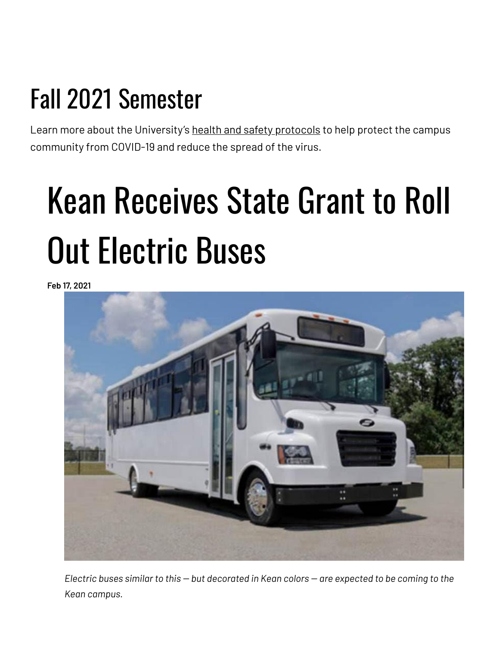## Fall 2021 Semester

Learn more about the University's health and safety [protocols](https://www.kean.edu/welcome-fall-2021-semester) to help protect the campus community from COVID-19 and reduce the spread of the virus.

# Kean Receives State Grant to Roll Out Electric Buses

**Feb 17, 2021**



*Electric buses similar to this -- but decorated in Kean colors -- are expected to be coming to the Kean campus.*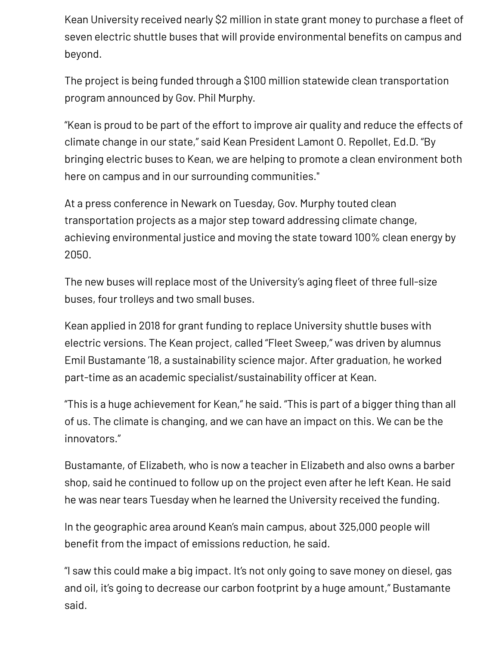Kean University received nearly \$2 million in state grant money to purchase a fleet of seven electric shuttle buses that will provide environmental benefits on campus and beyond.

The project is being funded through a \$100 million statewide clean transportation program announced by Gov. Phil Murphy.

"Kean is proud to be part of the effort to improve air quality and reduce the effects of climate change in our state," said Kean President Lamont O. Repollet, Ed.D. "By bringing electric buses to Kean, we are helping to promote a clean environment both here on campus and in our surrounding communities."

At a press conference in Newark on Tuesday, Gov. Murphy touted clean transportation projects as a major step toward addressing climate change, achieving environmental justice and moving the state toward 100% clean energy by 2050.

The new buses will replace most of the University's aging fleet of three full-size buses, four trolleys and two small buses.

Kean applied in 2018 for grant funding to replace University shuttle buses with electric versions. The Kean project, called "Fleet Sweep," was driven by alumnus Emil Bustamante '18, a sustainability science major. After graduation, he worked part-time as an academic specialist/sustainability officer at Kean.

"This is a huge achievement for Kean," he said. "This is part of a bigger thing than all of us. The climate is changing, and we can have an impact on this. We can be the innovators."

Bustamante, of Elizabeth, who is now a teacher in Elizabeth and also owns a barber shop, said he continued to follow up on the project even after he left Kean. He said he was near tears Tuesday when he learned the University received the funding.

In the geographic area around Kean's main campus, about 325,000 people will benefit from the impact of emissions reduction, he said.

"I saw this could make a big impact. It's not only going to save money on diesel, gas and oil, it's going to decrease our carbon footprint by a huge amount," Bustamante said.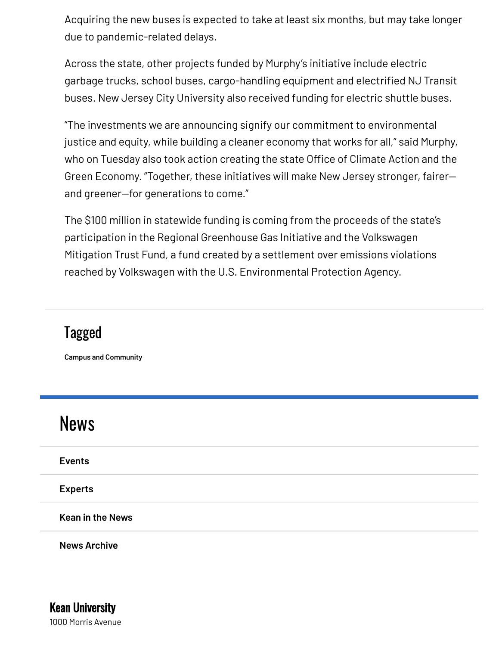Acquiring the new buses is expected to take at least six months, but may take longer due to pandemic-related delays.

Across the state, other projects funded by Murphy's initiative include electric garbage trucks, school buses, cargo-handling equipment and electrified NJ Transit buses. New Jersey City University also received funding for electric shuttle buses.

"The investments we are announcing signify our commitment to environmental justice and equity, while building a cleaner economy that works for all," said Murphy, who on Tuesday also took action creating the state Office of Climate Action and the Green Economy. "Together, these initiatives will make New Jersey stronger, fairer and greener—for generations to come."

The \$100 million in statewide funding is coming from the proceeds of the state's participation in the Regional Greenhouse Gas Initiative and the Volkswagen Mitigation Trust Fund, a fund created by a settlement over emissions violations reached by Volkswagen with the U.S. Environmental Protection Agency.

### Tagged

**Campus and [Community](https://www.kean.edu/taxonomy/term/795)**

| <b>News</b>             |  |
|-------------------------|--|
| <b>Events</b>           |  |
| <b>Experts</b>          |  |
| <b>Kean in the News</b> |  |
|                         |  |

**News [Archive](https://www.kean.edu/news/archive)**